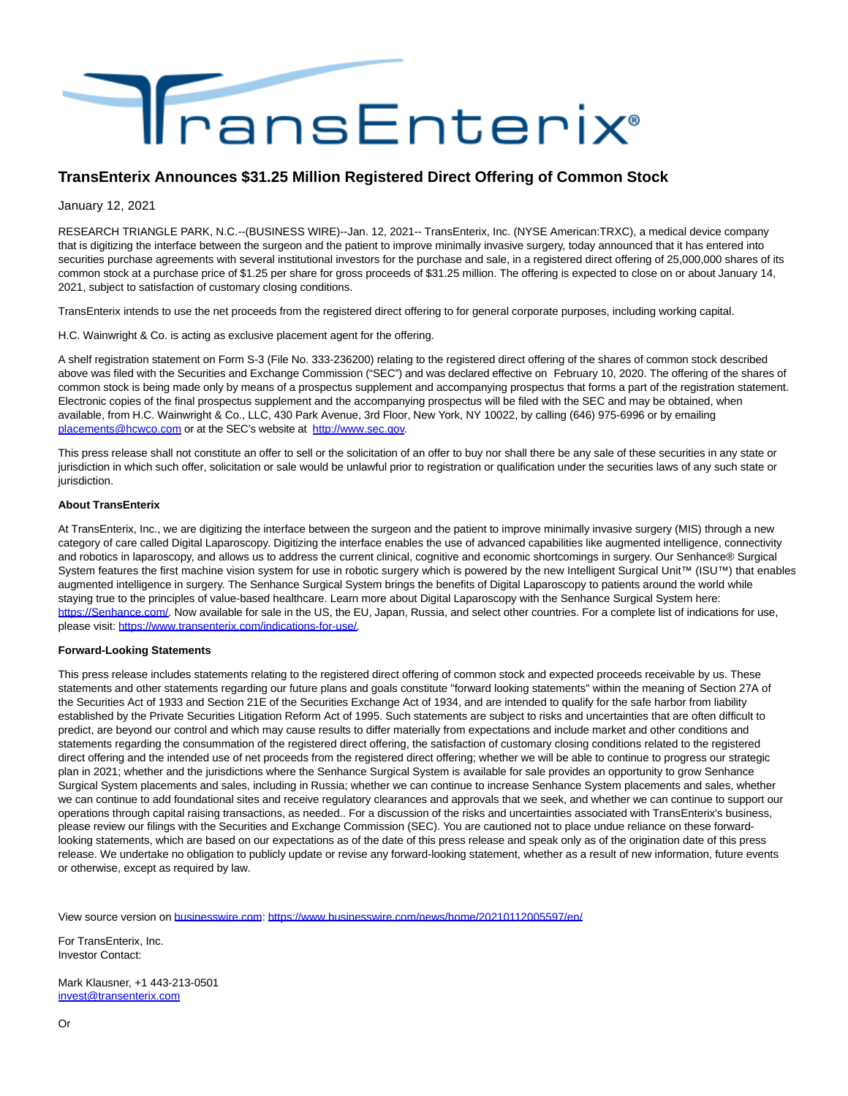

## **TransEnterix Announces \$31.25 Million Registered Direct Offering of Common Stock**

January 12, 2021

RESEARCH TRIANGLE PARK, N.C.--(BUSINESS WIRE)--Jan. 12, 2021-- TransEnterix, Inc. (NYSE American:TRXC), a medical device company that is digitizing the interface between the surgeon and the patient to improve minimally invasive surgery, today announced that it has entered into securities purchase agreements with several institutional investors for the purchase and sale, in a registered direct offering of 25,000,000 shares of its common stock at a purchase price of \$1.25 per share for gross proceeds of \$31.25 million. The offering is expected to close on or about January 14, 2021, subject to satisfaction of customary closing conditions.

TransEnterix intends to use the net proceeds from the registered direct offering to for general corporate purposes, including working capital.

H.C. Wainwright & Co. is acting as exclusive placement agent for the offering.

A shelf registration statement on Form S-3 (File No. 333-236200) relating to the registered direct offering of the shares of common stock described above was filed with the Securities and Exchange Commission ("SEC") and was declared effective on February 10, 2020. The offering of the shares of common stock is being made only by means of a prospectus supplement and accompanying prospectus that forms a part of the registration statement. Electronic copies of the final prospectus supplement and the accompanying prospectus will be filed with the SEC and may be obtained, when available, from H.C. Wainwright & Co., LLC, 430 Park Avenue, 3rd Floor, New York, NY 10022, by calling (646) 975-6996 or by emailing [placements@hcwco.com o](mailto:placements@hcwco.com)r at the SEC's website at [http://www.sec.gov.](https://cts.businesswire.com/ct/CT?id=smartlink&url=http%3A%2F%2Fwww.sec.gov&esheet=52360470&newsitemid=20210112005597&lan=en-US&anchor=http%3A%2F%2Fwww.sec.gov&index=1&md5=7119a2290e7eec1810b54c47062bd27d)

This press release shall not constitute an offer to sell or the solicitation of an offer to buy nor shall there be any sale of these securities in any state or jurisdiction in which such offer, solicitation or sale would be unlawful prior to registration or qualification under the securities laws of any such state or jurisdiction.

## **About TransEnterix**

At TransEnterix, Inc., we are digitizing the interface between the surgeon and the patient to improve minimally invasive surgery (MIS) through a new category of care called Digital Laparoscopy. Digitizing the interface enables the use of advanced capabilities like augmented intelligence, connectivity and robotics in laparoscopy, and allows us to address the current clinical, cognitive and economic shortcomings in surgery. Our Senhance® Surgical System features the first machine vision system for use in robotic surgery which is powered by the new Intelligent Surgical Unit™ (ISU™) that enables augmented intelligence in surgery. The Senhance Surgical System brings the benefits of Digital Laparoscopy to patients around the world while staying true to the principles of value-based healthcare. Learn more about Digital Laparoscopy with the Senhance Surgical System here: [https://Senhance.com/.](https://cts.businesswire.com/ct/CT?id=smartlink&url=https%3A%2F%2FSenhance.com%2F&esheet=52360470&newsitemid=20210112005597&lan=en-US&anchor=https%3A%2F%2FSenhance.com%2F&index=2&md5=a0405948efde678d80c860025a972ebc) Now available for sale in the US, the EU, Japan, Russia, and select other countries. For a complete list of indications for use, please visit: [https://www.transenterix.com/indications-for-use/.](https://cts.businesswire.com/ct/CT?id=smartlink&url=https%3A%2F%2Fwww.transenterix.com%2Findications-for-use%2F&esheet=52360470&newsitemid=20210112005597&lan=en-US&anchor=https%3A%2F%2Fwww.transenterix.com%2Findications-for-use%2F&index=3&md5=263aad76425cb9e31c58d049e20df9af)

## **Forward-Looking Statements**

This press release includes statements relating to the registered direct offering of common stock and expected proceeds receivable by us. These statements and other statements regarding our future plans and goals constitute "forward looking statements" within the meaning of Section 27A of the Securities Act of 1933 and Section 21E of the Securities Exchange Act of 1934, and are intended to qualify for the safe harbor from liability established by the Private Securities Litigation Reform Act of 1995. Such statements are subject to risks and uncertainties that are often difficult to predict, are beyond our control and which may cause results to differ materially from expectations and include market and other conditions and statements regarding the consummation of the registered direct offering, the satisfaction of customary closing conditions related to the registered direct offering and the intended use of net proceeds from the registered direct offering; whether we will be able to continue to progress our strategic plan in 2021; whether and the jurisdictions where the Senhance Surgical System is available for sale provides an opportunity to grow Senhance Surgical System placements and sales, including in Russia; whether we can continue to increase Senhance System placements and sales, whether we can continue to add foundational sites and receive regulatory clearances and approvals that we seek, and whether we can continue to support our operations through capital raising transactions, as needed.. For a discussion of the risks and uncertainties associated with TransEnterix's business, please review our filings with the Securities and Exchange Commission (SEC). You are cautioned not to place undue reliance on these forwardlooking statements, which are based on our expectations as of the date of this press release and speak only as of the origination date of this press release. We undertake no obligation to publicly update or revise any forward-looking statement, whether as a result of new information, future events or otherwise, except as required by law.

View source version on [businesswire.com:](http://businesswire.com/)<https://www.businesswire.com/news/home/20210112005597/en/>

For TransEnterix, Inc. Investor Contact:

Mark Klausner, +1 443-213-0501 [invest@transenterix.com](mailto:invest@transenterix.com)